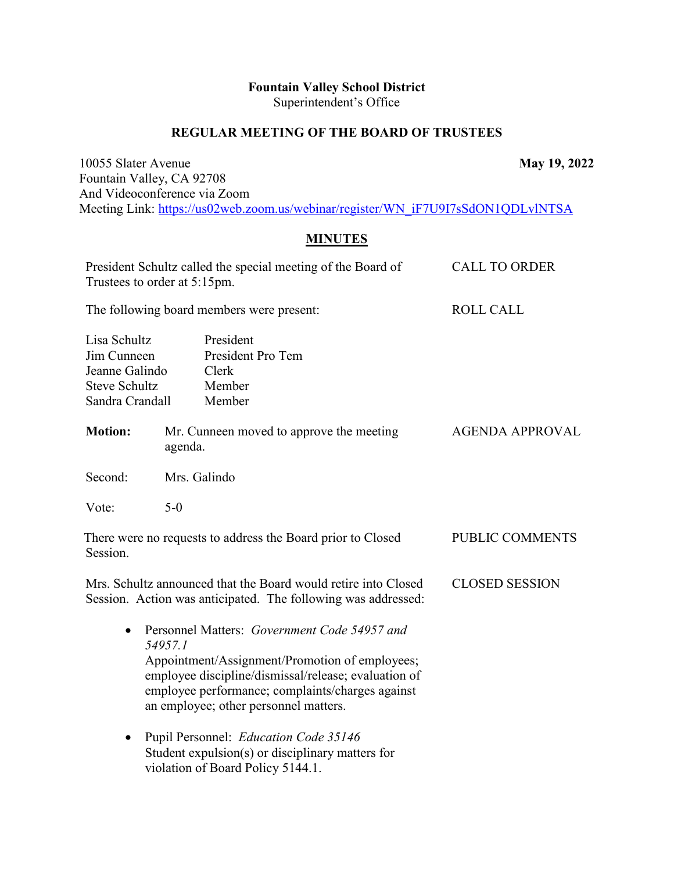## **Fountain Valley School District**  Superintendent's Office

### **REGULAR MEETING OF THE BOARD OF TRUSTEES**

10055 Slater Avenue **May 19, 2022** Fountain Valley, CA 92708 And Videoconference via Zoom Meeting Link: [https://us02web.zoom.us/webinar/register/WN\\_iF7U9I7sSdON1QDLvlNTSA](https://us02web.zoom.us/webinar/register/WN_iF7U9I7sSdON1QDLvlNTSA)

# **MINUTES**

| Trustees to order at 5:15pm.                                                             | President Schultz called the special meeting of the Board of                                                                                                                                                                                                   | <b>CALL TO ORDER</b>   |
|------------------------------------------------------------------------------------------|----------------------------------------------------------------------------------------------------------------------------------------------------------------------------------------------------------------------------------------------------------------|------------------------|
| The following board members were present:                                                |                                                                                                                                                                                                                                                                | <b>ROLL CALL</b>       |
| Lisa Schultz<br>Jim Cunneen<br>Jeanne Galindo<br><b>Steve Schultz</b><br>Sandra Crandall | President<br>President Pro Tem<br>Clerk<br>Member<br>Member                                                                                                                                                                                                    |                        |
| <b>Motion:</b>                                                                           | Mr. Cunneen moved to approve the meeting<br>agenda.                                                                                                                                                                                                            | <b>AGENDA APPROVAL</b> |
| Second:                                                                                  | Mrs. Galindo                                                                                                                                                                                                                                                   |                        |
| Vote:                                                                                    | $5-0$                                                                                                                                                                                                                                                          |                        |
| Session.                                                                                 | There were no requests to address the Board prior to Closed                                                                                                                                                                                                    | PUBLIC COMMENTS        |
|                                                                                          | Mrs. Schultz announced that the Board would retire into Closed<br>Session. Action was anticipated. The following was addressed:                                                                                                                                | <b>CLOSED SESSION</b>  |
| $\bullet$                                                                                | Personnel Matters: Government Code 54957 and<br>54957.1<br>Appointment/Assignment/Promotion of employees;<br>employee discipline/dismissal/release; evaluation of<br>employee performance; complaints/charges against<br>an employee; other personnel matters. |                        |
| $\bullet$                                                                                | Pupil Personnel: Education Code 35146<br>Student expulsion(s) or disciplinary matters for                                                                                                                                                                      |                        |

violation of Board Policy 5144.1.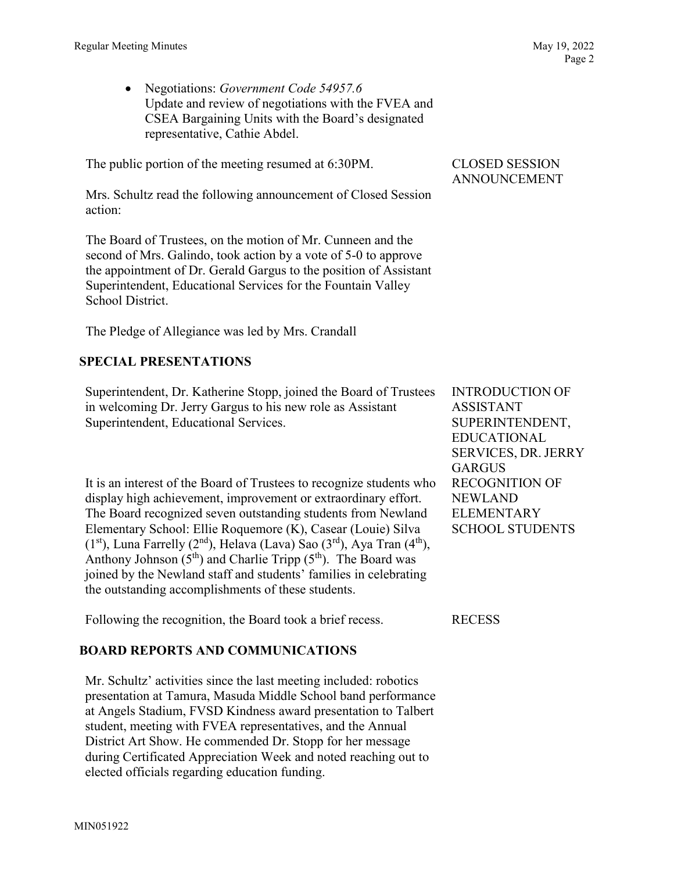• Negotiations: *Government Code 54957.6* Update and review of negotiations with the FVEA and CSEA Bargaining Units with the Board's designated representative, Cathie Abdel.

The public portion of the meeting resumed at 6:30PM.

Mrs. Schultz read the following announcement of Closed Session action:

The Board of Trustees, on the motion of Mr. Cunneen and the second of Mrs. Galindo, took action by a vote of 5-0 to approve the appointment of Dr. Gerald Gargus to the position of Assistant Superintendent, Educational Services for the Fountain Valley School District.

The Pledge of Allegiance was led by Mrs. Crandall

## **SPECIAL PRESENTATIONS**

Superintendent, Dr. Katherine Stopp, joined the Board of Trustees in welcoming Dr. Jerry Gargus to his new role as Assistant Superintendent, Educational Services.

It is an interest of the Board of Trustees to recognize students who display high achievement, improvement or extraordinary effort. The Board recognized seven outstanding students from Newland Elementary School: Ellie Roquemore (K), Casear (Louie) Silva  $(1<sup>st</sup>)$ , Luna Farrelly  $(2<sup>nd</sup>)$ , Helava (Lava) Sao  $(3<sup>rd</sup>)$ , Aya Tran  $(4<sup>th</sup>)$ , Anthony Johnson  $(5<sup>th</sup>)$  and Charlie Tripp  $(5<sup>th</sup>)$ . The Board was joined by the Newland staff and students' families in celebrating the outstanding accomplishments of these students.

Following the recognition, the Board took a brief recess. RECESS

## **BOARD REPORTS AND COMMUNICATIONS**

Mr. Schultz' activities since the last meeting included: robotics presentation at Tamura, Masuda Middle School band performance at Angels Stadium, FVSD Kindness award presentation to Talbert student, meeting with FVEA representatives, and the Annual District Art Show. He commended Dr. Stopp for her message during Certificated Appreciation Week and noted reaching out to elected officials regarding education funding.

### CLOSED SESSION ANNOUNCEMENT

INTRODUCTION OF ASSISTANT SUPERINTENDENT, EDUCATIONAL SERVICES, DR. JERRY GARGUS RECOGNITION OF NEWLAND ELEMENTARY SCHOOL STUDENTS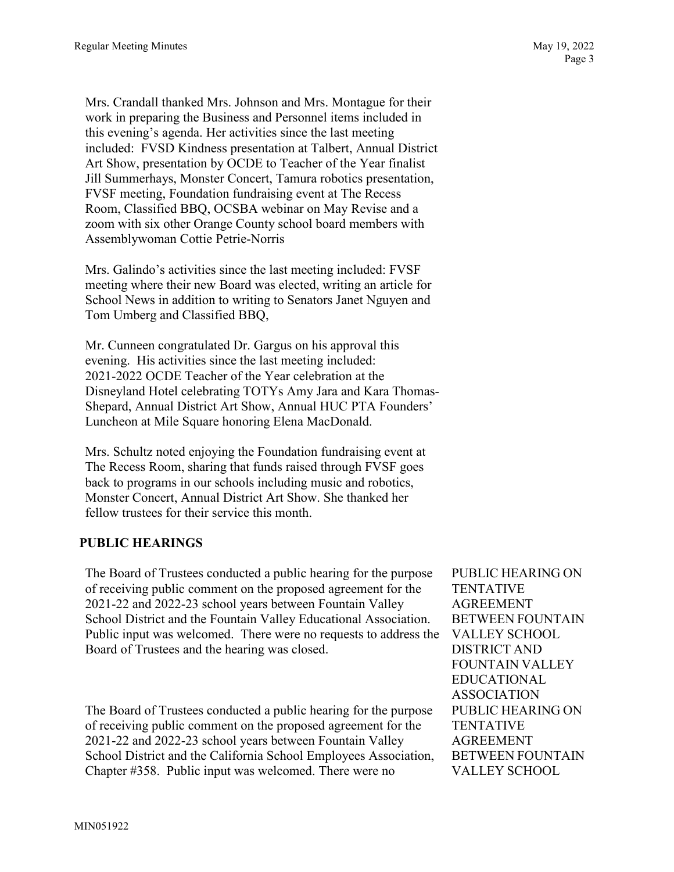Mrs. Crandall thanked Mrs. Johnson and Mrs. Montague for their work in preparing the Business and Personnel items included in this evening's agenda. Her activities since the last meeting included: FVSD Kindness presentation at Talbert, Annual District Art Show, presentation by OCDE to Teacher of the Year finalist Jill Summerhays, Monster Concert, Tamura robotics presentation, FVSF meeting, Foundation fundraising event at The Recess Room, Classified BBQ, OCSBA webinar on May Revise and a zoom with six other Orange County school board members with Assemblywoman Cottie Petrie-Norris

Mrs. Galindo's activities since the last meeting included: FVSF meeting where their new Board was elected, writing an article for School News in addition to writing to Senators Janet Nguyen and Tom Umberg and Classified BBQ,

Mr. Cunneen congratulated Dr. Gargus on his approval this evening. His activities since the last meeting included: 2021-2022 OCDE Teacher of the Year celebration at the Disneyland Hotel celebrating TOTYs Amy Jara and Kara Thomas-Shepard, Annual District Art Show, Annual HUC PTA Founders' Luncheon at Mile Square honoring Elena MacDonald.

Mrs. Schultz noted enjoying the Foundation fundraising event at The Recess Room, sharing that funds raised through FVSF goes back to programs in our schools including music and robotics, Monster Concert, Annual District Art Show. She thanked her fellow trustees for their service this month.

### **PUBLIC HEARINGS**

The Board of Trustees conducted a public hearing for the purpose of receiving public comment on the proposed agreement for the 2021-22 and 2022-23 school years between Fountain Valley School District and the Fountain Valley Educational Association. Public input was welcomed. There were no requests to address the Board of Trustees and the hearing was closed.

The Board of Trustees conducted a public hearing for the purpose of receiving public comment on the proposed agreement for the 2021-22 and 2022-23 school years between Fountain Valley School District and the California School Employees Association, Chapter #358. Public input was welcomed. There were no

PUBLIC HEARING ON **TENTATIVE** AGREEMENT BETWEEN FOUNTAIN VALLEY SCHOOL DISTRICT AND FOUNTAIN VALLEY EDUCATIONAL ASSOCIATION PUBLIC HEARING ON TENTATIVE AGREEMENT BETWEEN FOUNTAIN VALLEY SCHOOL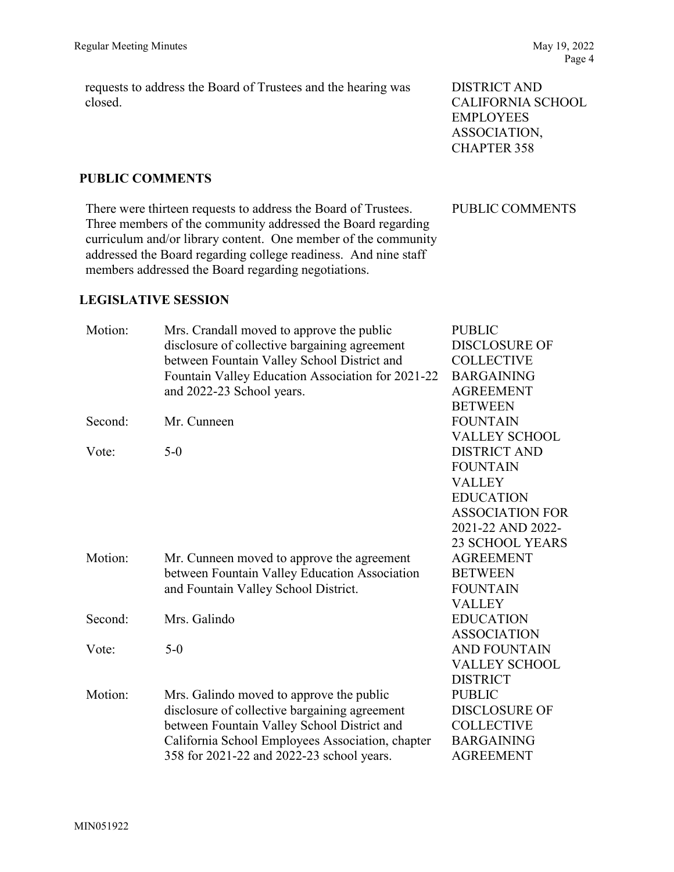requests to address the Board of Trustees and the hearing was closed.

### **PUBLIC COMMENTS**

There were thirteen requests to address the Board of Trustees. Three members of the community addressed the Board regarding curriculum and/or library content. One member of the community addressed the Board regarding college readiness. And nine staff members addressed the Board regarding negotiations.

### **LEGISLATIVE SESSION**

Motion: Mrs. Crandall moved to approve the public disclosure of collective bargaining agreement between Fountain Valley School District and Fountain Valley Education Association for 2021-22 and 2022-23 School years. Second: Mr. Cunneen Vote: 5-0 PUBLIC DISCLOSURE OF **COLLECTIVE** BARGAINING AGREEMENT **BETWEEN** FOUNTAIN VALLEY SCHOOL DISTRICT AND FOUNTAIN VALLEY EDUCATION ASSOCIATION FOR 2021-22 AND 2022- 23 SCHOOL YEARS Motion: Mr. Cunneen moved to approve the agreement between Fountain Valley Education Association and Fountain Valley School District. Second: Mrs. Galindo Vote: 5-0 AGREEMENT BETWEEN FOUNTAIN VALLEY EDUCATION ASSOCIATION AND FOUNTAIN VALLEY SCHOOL DISTRICT Motion: Mrs. Galindo moved to approve the public disclosure of collective bargaining agreement between Fountain Valley School District and California School Employees Association, chapter 358 for 2021-22 and 2022-23 school years. PUBLIC DISCLOSURE OF COLLECTIVE BARGAINING AGREEMENT

PUBLIC COMMENTS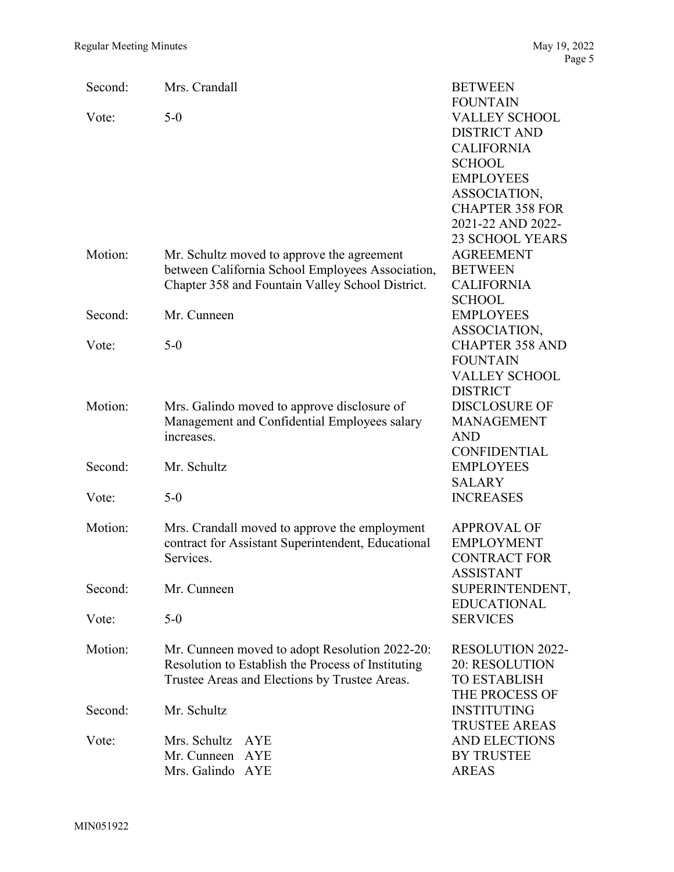| Second: | Mrs. Crandall                                      | <b>BETWEEN</b>                    |
|---------|----------------------------------------------------|-----------------------------------|
|         |                                                    | <b>FOUNTAIN</b>                   |
| Vote:   | $5-0$                                              | <b>VALLEY SCHOOL</b>              |
|         |                                                    | <b>DISTRICT AND</b>               |
|         |                                                    | <b>CALIFORNIA</b>                 |
|         |                                                    | <b>SCHOOL</b>                     |
|         |                                                    | <b>EMPLOYEES</b>                  |
|         |                                                    | ASSOCIATION,                      |
|         |                                                    | <b>CHAPTER 358 FOR</b>            |
|         |                                                    | 2021-22 AND 2022-                 |
|         |                                                    | <b>23 SCHOOL YEARS</b>            |
| Motion: | Mr. Schultz moved to approve the agreement         | <b>AGREEMENT</b>                  |
|         | between California School Employees Association,   | <b>BETWEEN</b>                    |
|         | Chapter 358 and Fountain Valley School District.   | <b>CALIFORNIA</b>                 |
|         |                                                    | <b>SCHOOL</b>                     |
| Second: | Mr. Cunneen                                        | <b>EMPLOYEES</b>                  |
|         |                                                    | ASSOCIATION,                      |
| Vote:   | $5-0$                                              | <b>CHAPTER 358 AND</b>            |
|         |                                                    | <b>FOUNTAIN</b>                   |
|         |                                                    | <b>VALLEY SCHOOL</b>              |
|         |                                                    | <b>DISTRICT</b>                   |
| Motion: | Mrs. Galindo moved to approve disclosure of        | <b>DISCLOSURE OF</b>              |
|         | Management and Confidential Employees salary       | <b>MANAGEMENT</b>                 |
|         | increases.                                         | <b>AND</b>                        |
|         |                                                    | <b>CONFIDENTIAL</b>               |
| Second: | Mr. Schultz                                        | <b>EMPLOYEES</b>                  |
| Vote:   | $5-0$                                              | <b>SALARY</b><br><b>INCREASES</b> |
|         |                                                    |                                   |
| Motion: | Mrs. Crandall moved to approve the employment      | <b>APPROVAL OF</b>                |
|         | contract for Assistant Superintendent, Educational | <b>EMPLOYMENT</b>                 |
|         | Services.                                          | <b>CONTRACT FOR</b>               |
|         |                                                    | <b>ASSISTANT</b>                  |
| Second: | Mr. Cunneen                                        | SUPERINTENDENT,                   |
|         |                                                    | <b>EDUCATIONAL</b>                |
| Vote:   | $5-0$                                              | <b>SERVICES</b>                   |
|         |                                                    |                                   |
| Motion: | Mr. Cunneen moved to adopt Resolution 2022-20:     | <b>RESOLUTION 2022-</b>           |
|         | Resolution to Establish the Process of Instituting | 20: RESOLUTION                    |
|         | Trustee Areas and Elections by Trustee Areas.      | <b>TO ESTABLISH</b>               |
|         |                                                    | THE PROCESS OF                    |
| Second: | Mr. Schultz                                        | <b>INSTITUTING</b>                |
|         |                                                    | <b>TRUSTEE AREAS</b>              |
| Vote:   | Mrs. Schultz<br><b>AYE</b>                         | <b>AND ELECTIONS</b>              |
|         | Mr. Cunneen<br>AYE                                 | <b>BY TRUSTEE</b>                 |
|         | Mrs. Galindo AYE                                   | <b>AREAS</b>                      |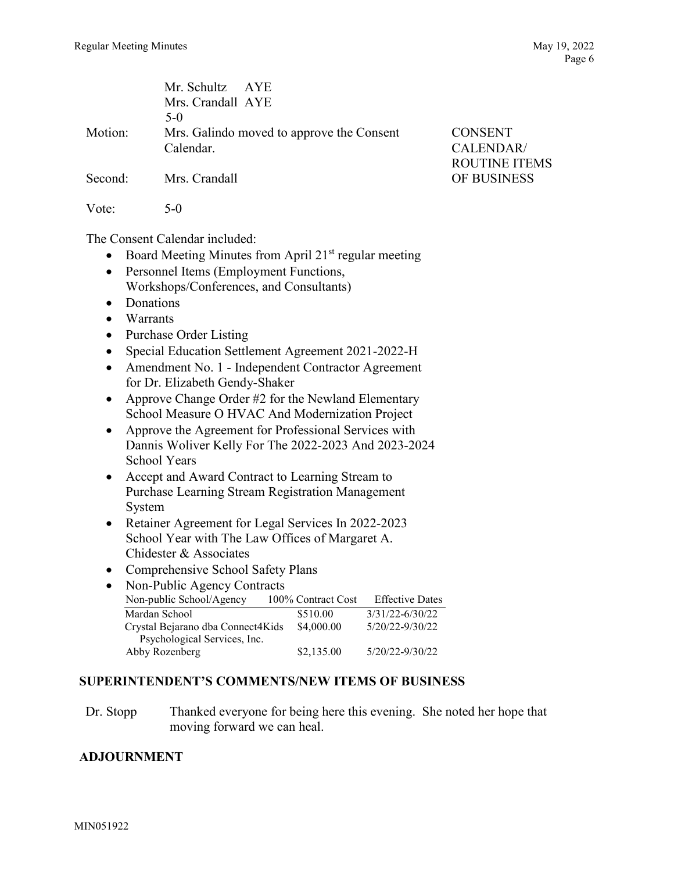|         | Mr. Schultz AYE                           |                      |
|---------|-------------------------------------------|----------------------|
|         | Mrs. Crandall AYE                         |                      |
|         | $5-0$                                     |                      |
| Motion: | Mrs. Galindo moved to approve the Consent | <b>CONSENT</b>       |
|         | Calendar.                                 | CALENDAR/            |
|         |                                           | <b>ROUTINE ITEMS</b> |
| Second: | Mrs. Crandall                             | OF BUSINESS          |
| Vote:   | $5-0$                                     |                      |

The Consent Calendar included:

- Board Meeting Minutes from April  $21<sup>st</sup>$  regular meeting
- Personnel Items (Employment Functions, Workshops/Conferences, and Consultants)
- Donations
- Warrants
- Purchase Order Listing
- Special Education Settlement Agreement 2021-2022-H
- Amendment No. 1 Independent Contractor Agreement for Dr. Elizabeth Gendy-Shaker
- Approve Change Order #2 for the Newland Elementary School Measure O HVAC And Modernization Project
- Approve the Agreement for Professional Services with Dannis Woliver Kelly For The 2022-2023 And 2023-2024 School Years
- Accept and Award Contract to Learning Stream to Purchase Learning Stream Registration Management System
- Retainer Agreement for Legal Services In 2022-2023 School Year with The Law Offices of Margaret A. Chidester & Associates
- Comprehensive School Safety Plans
- Non-Public Agency Contracts Non-public School/Agency 100% Contract Cost Effective Dates Mardan School  $$510.00$   $3/31/22-6/30/22$ Crystal Bejarano dba Connect4Kids \$4,000.00 5/20/22-9/30/22 Psychological Services, Inc. Abby Rozenberg  $$2,135.00$   $5/20/22-9/30/22$

### **SUPERINTENDENT'S COMMENTS/NEW ITEMS OF BUSINESS**

Dr. Stopp Thanked everyone for being here this evening. She noted her hope that moving forward we can heal.

### **ADJOURNMENT**